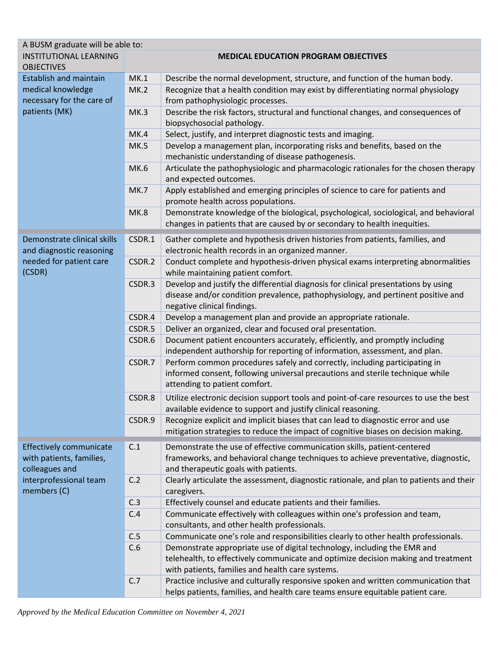| A BUSM graduate will be able to:                                                                                      |                                             |                                                                                                                                                                                                                   |  |  |  |
|-----------------------------------------------------------------------------------------------------------------------|---------------------------------------------|-------------------------------------------------------------------------------------------------------------------------------------------------------------------------------------------------------------------|--|--|--|
| <b>INSTITUTIONAL LEARNING</b><br><b>OBJECTIVES</b>                                                                    | <b>MEDICAL EDUCATION PROGRAM OBJECTIVES</b> |                                                                                                                                                                                                                   |  |  |  |
| <b>Establish and maintain</b>                                                                                         | MK.1                                        | Describe the normal development, structure, and function of the human body.                                                                                                                                       |  |  |  |
| medical knowledge<br>necessary for the care of<br>patients (MK)                                                       | MK.2                                        | Recognize that a health condition may exist by differentiating normal physiology<br>from pathophysiologic processes.                                                                                              |  |  |  |
|                                                                                                                       | MK.3                                        | Describe the risk factors, structural and functional changes, and consequences of<br>biopsychosocial pathology.                                                                                                   |  |  |  |
|                                                                                                                       | MK.4                                        | Select, justify, and interpret diagnostic tests and imaging.                                                                                                                                                      |  |  |  |
|                                                                                                                       | MK.5                                        | Develop a management plan, incorporating risks and benefits, based on the<br>mechanistic understanding of disease pathogenesis.                                                                                   |  |  |  |
|                                                                                                                       | MK.6                                        | Articulate the pathophysiologic and pharmacologic rationales for the chosen therapy<br>and expected outcomes.                                                                                                     |  |  |  |
|                                                                                                                       | <b>MK.7</b>                                 | Apply established and emerging principles of science to care for patients and<br>promote health across populations.                                                                                               |  |  |  |
|                                                                                                                       | MK.8                                        | Demonstrate knowledge of the biological, psychological, sociological, and behavioral<br>changes in patients that are caused by or secondary to health inequities.                                                 |  |  |  |
| Demonstrate clinical skills<br>and diagnostic reasoning<br>needed for patient care<br>(CSDR)                          | CSDR.1                                      | Gather complete and hypothesis driven histories from patients, families, and<br>electronic health records in an organized manner.                                                                                 |  |  |  |
|                                                                                                                       | CSDR.2                                      | Conduct complete and hypothesis-driven physical exams interpreting abnormalities<br>while maintaining patient comfort.                                                                                            |  |  |  |
|                                                                                                                       | CSDR.3                                      | Develop and justify the differential diagnosis for clinical presentations by using<br>disease and/or condition prevalence, pathophysiology, and pertinent positive and<br>negative clinical findings.             |  |  |  |
|                                                                                                                       | CSDR.4                                      | Develop a management plan and provide an appropriate rationale.                                                                                                                                                   |  |  |  |
|                                                                                                                       | CSDR.5                                      | Deliver an organized, clear and focused oral presentation.                                                                                                                                                        |  |  |  |
|                                                                                                                       | CSDR.6                                      | Document patient encounters accurately, efficiently, and promptly including                                                                                                                                       |  |  |  |
|                                                                                                                       |                                             | independent authorship for reporting of information, assessment, and plan.                                                                                                                                        |  |  |  |
|                                                                                                                       | CSDR.7                                      | Perform common procedures safely and correctly, including participating in<br>informed consent, following universal precautions and sterile technique while<br>attending to patient comfort.                      |  |  |  |
|                                                                                                                       | CSDR.8                                      | Utilize electronic decision support tools and point-of-care resources to use the best<br>available evidence to support and justify clinical reasoning.                                                            |  |  |  |
|                                                                                                                       | CSDR.9                                      | Recognize explicit and implicit biases that can lead to diagnostic error and use<br>mitigation strategies to reduce the impact of cognitive biases on decision making.                                            |  |  |  |
| <b>Effectively communicate</b><br>with patients, families,<br>colleagues and<br>interprofessional team<br>members (C) | C.1                                         | Demonstrate the use of effective communication skills, patient-centered<br>frameworks, and behavioral change techniques to achieve preventative, diagnostic,<br>and therapeutic goals with patients.              |  |  |  |
|                                                                                                                       | C.2                                         | Clearly articulate the assessment, diagnostic rationale, and plan to patients and their<br>caregivers.                                                                                                            |  |  |  |
|                                                                                                                       | C.3                                         | Effectively counsel and educate patients and their families.                                                                                                                                                      |  |  |  |
|                                                                                                                       | C.4                                         | Communicate effectively with colleagues within one's profession and team,<br>consultants, and other health professionals.                                                                                         |  |  |  |
|                                                                                                                       | C.5                                         | Communicate one's role and responsibilities clearly to other health professionals.                                                                                                                                |  |  |  |
|                                                                                                                       | C.6                                         | Demonstrate appropriate use of digital technology, including the EMR and<br>telehealth, to effectively communicate and optimize decision making and treatment<br>with patients, families and health care systems. |  |  |  |
|                                                                                                                       | C.7                                         | Practice inclusive and culturally responsive spoken and written communication that<br>helps patients, families, and health care teams ensure equitable patient care.                                              |  |  |  |

*Approved by the Medical Education Committee on November 4, 2021*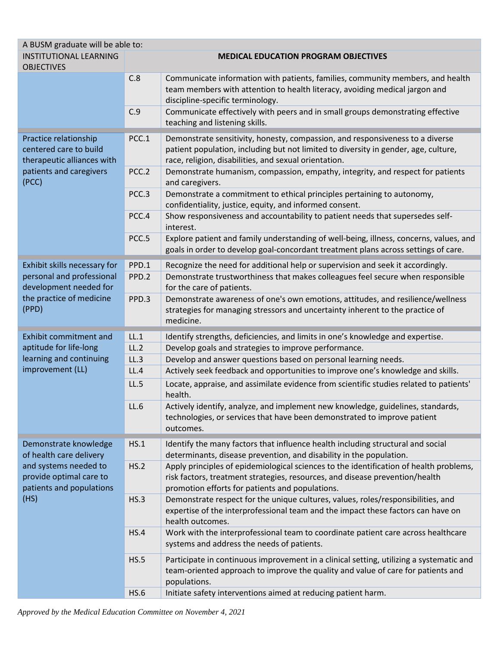| A BUSM graduate will be able to:                                                                                  |                                             |                                                                                                                                   |  |
|-------------------------------------------------------------------------------------------------------------------|---------------------------------------------|-----------------------------------------------------------------------------------------------------------------------------------|--|
| <b>INSTITUTIONAL LEARNING</b>                                                                                     | <b>MEDICAL EDUCATION PROGRAM OBJECTIVES</b> |                                                                                                                                   |  |
| <b>OBJECTIVES</b>                                                                                                 |                                             |                                                                                                                                   |  |
|                                                                                                                   | C.8                                         | Communicate information with patients, families, community members, and health                                                    |  |
|                                                                                                                   |                                             | team members with attention to health literacy, avoiding medical jargon and                                                       |  |
|                                                                                                                   | C.9                                         | discipline-specific terminology.                                                                                                  |  |
|                                                                                                                   |                                             | Communicate effectively with peers and in small groups demonstrating effective<br>teaching and listening skills.                  |  |
|                                                                                                                   |                                             |                                                                                                                                   |  |
| Practice relationship<br>centered care to build<br>therapeutic alliances with<br>patients and caregivers<br>(PCC) | PCC.1                                       | Demonstrate sensitivity, honesty, compassion, and responsiveness to a diverse                                                     |  |
|                                                                                                                   |                                             | patient population, including but not limited to diversity in gender, age, culture,                                               |  |
|                                                                                                                   |                                             | race, religion, disabilities, and sexual orientation.                                                                             |  |
|                                                                                                                   | PCC.2                                       | Demonstrate humanism, compassion, empathy, integrity, and respect for patients                                                    |  |
|                                                                                                                   | PCC.3                                       | and caregivers.                                                                                                                   |  |
|                                                                                                                   |                                             | Demonstrate a commitment to ethical principles pertaining to autonomy,<br>confidentiality, justice, equity, and informed consent. |  |
|                                                                                                                   | PCC.4                                       | Show responsiveness and accountability to patient needs that supersedes self-                                                     |  |
|                                                                                                                   |                                             | interest.                                                                                                                         |  |
|                                                                                                                   | PCC.5                                       | Explore patient and family understanding of well-being, illness, concerns, values, and                                            |  |
|                                                                                                                   |                                             | goals in order to develop goal-concordant treatment plans across settings of care.                                                |  |
| Exhibit skills necessary for                                                                                      | PPD.1                                       | Recognize the need for additional help or supervision and seek it accordingly.                                                    |  |
| personal and professional                                                                                         | PPD.2                                       | Demonstrate trustworthiness that makes colleagues feel secure when responsible                                                    |  |
| development needed for                                                                                            |                                             | for the care of patients.                                                                                                         |  |
| the practice of medicine                                                                                          | PPD.3                                       | Demonstrate awareness of one's own emotions, attitudes, and resilience/wellness                                                   |  |
| (PPD)                                                                                                             |                                             | strategies for managing stressors and uncertainty inherent to the practice of                                                     |  |
|                                                                                                                   |                                             | medicine.                                                                                                                         |  |
| Exhibit commitment and                                                                                            | LL.1                                        | Identify strengths, deficiencies, and limits in one's knowledge and expertise.                                                    |  |
| aptitude for life-long                                                                                            | LL.2                                        | Develop goals and strategies to improve performance.                                                                              |  |
| learning and continuing                                                                                           | LL.3                                        | Develop and answer questions based on personal learning needs.                                                                    |  |
| improvement (LL)                                                                                                  | LL.4                                        | Actively seek feedback and opportunities to improve one's knowledge and skills.                                                   |  |
|                                                                                                                   | LL.5                                        | Locate, appraise, and assimilate evidence from scientific studies related to patients'                                            |  |
|                                                                                                                   |                                             | health.                                                                                                                           |  |
|                                                                                                                   | LL.6                                        | Actively identify, analyze, and implement new knowledge, guidelines, standards,                                                   |  |
|                                                                                                                   |                                             | technologies, or services that have been demonstrated to improve patient                                                          |  |
|                                                                                                                   |                                             | outcomes.                                                                                                                         |  |
| Demonstrate knowledge<br>of health care delivery<br>and systems needed to                                         | HS.1                                        | Identify the many factors that influence health including structural and social                                                   |  |
|                                                                                                                   |                                             | determinants, disease prevention, and disability in the population.                                                               |  |
|                                                                                                                   | HS.2                                        | Apply principles of epidemiological sciences to the identification of health problems,                                            |  |
| provide optimal care to                                                                                           |                                             | risk factors, treatment strategies, resources, and disease prevention/health                                                      |  |
| patients and populations<br>(HS)                                                                                  |                                             | promotion efforts for patients and populations.                                                                                   |  |
|                                                                                                                   | HS.3                                        | Demonstrate respect for the unique cultures, values, roles/responsibilities, and                                                  |  |
|                                                                                                                   |                                             | expertise of the interprofessional team and the impact these factors can have on<br>health outcomes.                              |  |
|                                                                                                                   | HS.4                                        | Work with the interprofessional team to coordinate patient care across healthcare                                                 |  |
|                                                                                                                   |                                             | systems and address the needs of patients.                                                                                        |  |
|                                                                                                                   |                                             |                                                                                                                                   |  |
|                                                                                                                   | HS.5                                        | Participate in continuous improvement in a clinical setting, utilizing a systematic and                                           |  |
|                                                                                                                   |                                             | team-oriented approach to improve the quality and value of care for patients and                                                  |  |
|                                                                                                                   |                                             | populations.                                                                                                                      |  |
|                                                                                                                   | <b>HS.6</b>                                 | Initiate safety interventions aimed at reducing patient harm.                                                                     |  |

*Approved by the Medical Education Committee on November 4, 2021*